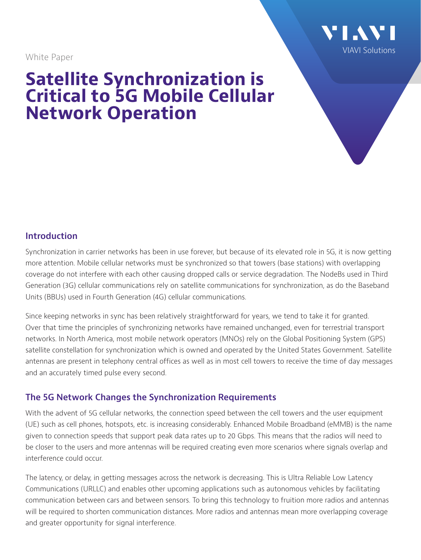White Paper



# **Satellite Synchronization is Critical to 5G Mobile Cellular Network Operation**

## **Introduction**

Synchronization in carrier networks has been in use forever, but because of its elevated role in 5G, it is now getting more attention. Mobile cellular networks must be synchronized so that towers (base stations) with overlapping coverage do not interfere with each other causing dropped calls or service degradation. The NodeBs used in Third Generation (3G) cellular communications rely on satellite communications for synchronization, as do the Baseband Units (BBUs) used in Fourth Generation (4G) cellular communications.

Since keeping networks in sync has been relatively straightforward for years, we tend to take it for granted. Over that time the principles of synchronizing networks have remained unchanged, even for terrestrial transport networks. In North America, most mobile network operators (MNOs) rely on the Global Positioning System (GPS) satellite constellation for synchronization which is owned and operated by the United States Government. Satellite antennas are present in telephony central offices as well as in most cell towers to receive the time of day messages and an accurately timed pulse every second.

#### **The 5G Network Changes the Synchronization Requirements**

With the advent of 5G cellular networks, the connection speed between the cell towers and the user equipment (UE) such as cell phones, hotspots, etc. is increasing considerably. Enhanced Mobile Broadband (eMMB) is the name given to connection speeds that support peak data rates up to 20 Gbps. This means that the radios will need to be closer to the users and more antennas will be required creating even more scenarios where signals overlap and interference could occur.

The latency, or delay, in getting messages across the network is decreasing. This is Ultra Reliable Low Latency Communications (URLLC) and enables other upcoming applications such as autonomous vehicles by facilitating communication between cars and between sensors. To bring this technology to fruition more radios and antennas will be required to shorten communication distances. More radios and antennas mean more overlapping coverage and greater opportunity for signal interference.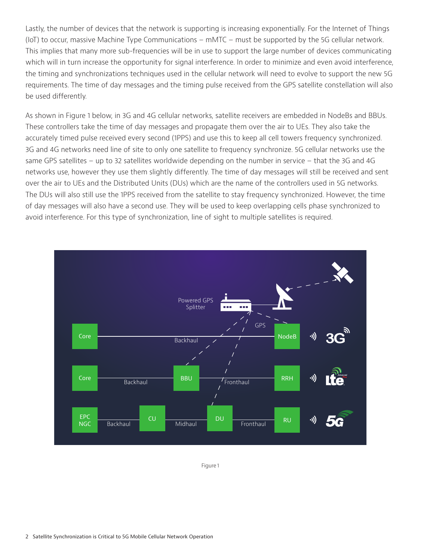Lastly, the number of devices that the network is supporting is increasing exponentially. For the Internet of Things (IoT) to occur, massive Machine Type Communications – mMTC – must be supported by the 5G cellular network. This implies that many more sub-frequencies will be in use to support the large number of devices communicating which will in turn increase the opportunity for signal interference. In order to minimize and even avoid interference, the timing and synchronizations techniques used in the cellular network will need to evolve to support the new 5G requirements. The time of day messages and the timing pulse received from the GPS satellite constellation will also be used differently.

As shown in Figure 1 below, in 3G and 4G cellular networks, satellite receivers are embedded in NodeBs and BBUs. These controllers take the time of day messages and propagate them over the air to UEs. They also take the accurately timed pulse received every second (1PPS) and use this to keep all cell towers frequency synchronized. 3G and 4G networks need line of site to only one satellite to frequency synchronize. 5G cellular networks use the same GPS satellites – up to 32 satellites worldwide depending on the number in service – that the 3G and 4G networks use, however they use them slightly differently. The time of day messages will still be received and sent over the air to UEs and the Distributed Units (DUs) which are the name of the controllers used in 5G networks. The DUs will also still use the 1PPS received from the satellite to stay frequency synchronized. However, the time of day messages will also have a second use. They will be used to keep overlapping cells phase synchronized to avoid interference. For this type of synchronization, line of sight to multiple satellites is required.



Figure 1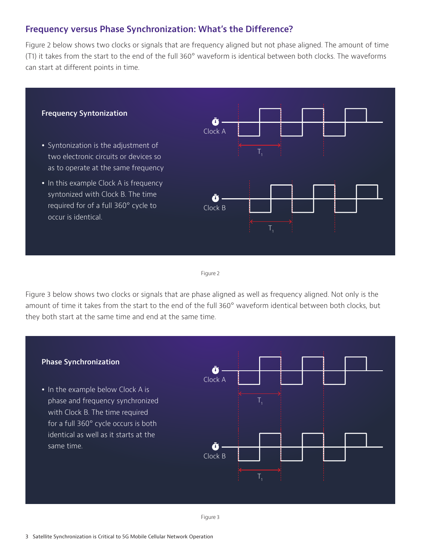#### **Frequency versus Phase Synchronization: What's the Difference?**

Figure 2 below shows two clocks or signals that are frequency aligned but not phase aligned. The amount of time (T1) it takes from the start to the end of the full 360° waveform is identical between both clocks. The waveforms can start at different points in time.



Figure 2

Figure 3 below shows two clocks or signals that are phase aligned as well as frequency aligned. Not only is the amount of time it takes from the start to the end of the full 360° waveform identical between both clocks, but they both start at the same time and end at the same time.

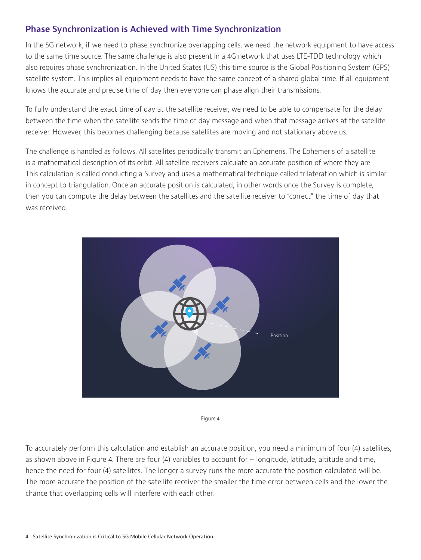## **Phase Synchronization is Achieved with Time Synchronization**

In the 5G network, if we need to phase synchronize overlapping cells, we need the network equipment to have access to the same time source. The same challenge is also present in a 4G network that uses LTE-TDD technology which also requires phase synchronization. In the United States (US) this time source is the Global Positioning System (GPS) satellite system. This implies all equipment needs to have the same concept of a shared global time. If all equipment knows the accurate and precise time of day then everyone can phase align their transmissions.

To fully understand the exact time of day at the satellite receiver, we need to be able to compensate for the delay between the time when the satellite sends the time of day message and when that message arrives at the satellite receiver. However, this becomes challenging because satellites are moving and not stationary above us.

The challenge is handled as follows. All satellites periodically transmit an Ephemeris. The Ephemeris of a satellite is a mathematical description of its orbit. All satellite receivers calculate an accurate position of where they are. This calculation is called conducting a Survey and uses a mathematical technique called trilateration which is similar in concept to triangulation. Once an accurate position is calculated, in other words once the Survey is complete, then you can compute the delay between the satellites and the satellite receiver to "correct" the time of day that was received.



Figure 4

To accurately perform this calculation and establish an accurate position, you need a minimum of four (4) satellites, as shown above in Figure 4. There are four (4) variables to account for – longitude, latitude, altitude and time, hence the need for four (4) satellites. The longer a survey runs the more accurate the position calculated will be. The more accurate the position of the satellite receiver the smaller the time error between cells and the lower the chance that overlapping cells will interfere with each other.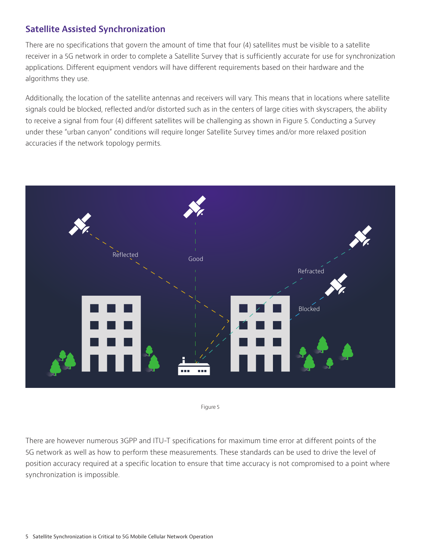## **Satellite Assisted Synchronization**

There are no specifications that govern the amount of time that four (4) satellites must be visible to a satellite receiver in a 5G network in order to complete a Satellite Survey that is sufficiently accurate for use for synchronization applications. Different equipment vendors will have different requirements based on their hardware and the algorithms they use.

Additionally, the location of the satellite antennas and receivers will vary. This means that in locations where satellite signals could be blocked, reflected and/or distorted such as in the centers of large cities with skyscrapers, the ability to receive a signal from four (4) different satellites will be challenging as shown in Figure 5. Conducting a Survey under these "urban canyon" conditions will require longer Satellite Survey times and/or more relaxed position accuracies if the network topology permits.





There are however numerous 3GPP and ITU-T specifications for maximum time error at different points of the 5G network as well as how to perform these measurements. These standards can be used to drive the level of position accuracy required at a specific location to ensure that time accuracy is not compromised to a point where synchronization is impossible.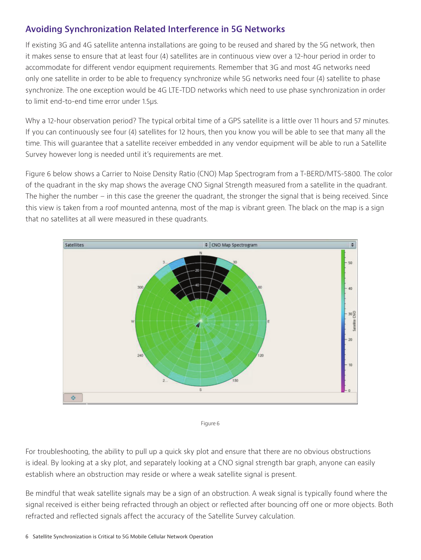## **Avoiding Synchronization Related Interference in 5G Networks**

If existing 3G and 4G satellite antenna installations are going to be reused and shared by the 5G network, then it makes sense to ensure that at least four (4) satellites are in continuous view over a 12-hour period in order to accommodate for different vendor equipment requirements. Remember that 3G and most 4G networks need only one satellite in order to be able to frequency synchronize while 5G networks need four (4) satellite to phase synchronize. The one exception would be 4G LTE-TDD networks which need to use phase synchronization in order to limit end-to-end time error under 1.5µs.

Why a 12-hour observation period? The typical orbital time of a GPS satellite is a little over 11 hours and 57 minutes. If you can continuously see four (4) satellites for 12 hours, then you know you will be able to see that many all the time. This will guarantee that a satellite receiver embedded in any vendor equipment will be able to run a Satellite Survey however long is needed until it's requirements are met.

Figure 6 below shows a Carrier to Noise Density Ratio (CNO) Map Spectrogram from a T-BERD/MTS-5800. The color of the quadrant in the sky map shows the average CNO Signal Strength measured from a satellite in the quadrant. The higher the number – in this case the greener the quadrant, the stronger the signal that is being received. Since this view is taken from a roof mounted antenna, most of the map is vibrant green. The black on the map is a sign that no satellites at all were measured in these quadrants.





For troubleshooting, the ability to pull up a quick sky plot and ensure that there are no obvious obstructions is ideal. By looking at a sky plot, and separately looking at a CNO signal strength bar graph, anyone can easily establish where an obstruction may reside or where a weak satellite signal is present.

Be mindful that weak satellite signals may be a sign of an obstruction. A weak signal is typically found where the signal received is either being refracted through an object or reflected after bouncing off one or more objects. Both refracted and reflected signals affect the accuracy of the Satellite Survey calculation.